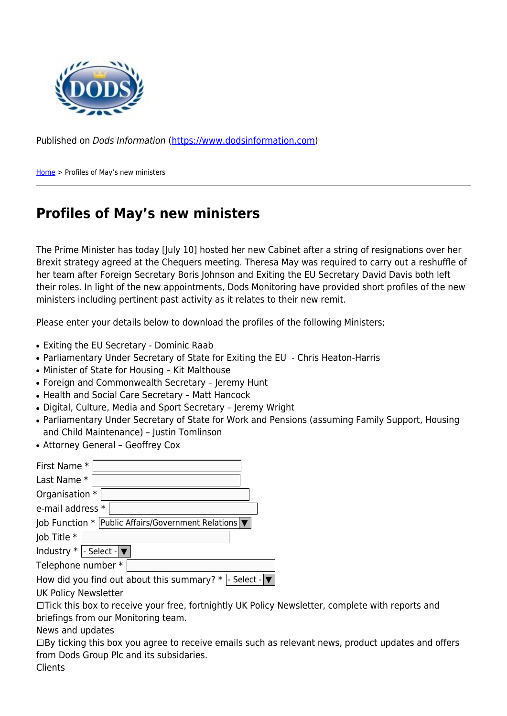

Published on Dods Information ([https://www.dodsinformation.com\)](https://www.dodsinformation.com)

[Home](https://www.dodsinformation.com/) > Profiles of May's new ministers

## **Profiles of May's new ministers**

The Prime Minister has today [July 10] hosted her new Cabinet after a string of resignations over her Brexit strategy agreed at the Chequers meeting. Theresa May was required to carry out a reshuffle of her team after Foreign Secretary Boris Johnson and Exiting the EU Secretary David Davis both left their roles. In light of the new appointments, Dods Monitoring have provided short profiles of the new ministers including pertinent past activity as it relates to their new remit.

Please enter your details below to download the profiles of the following Ministers;

- Exiting the EU Secretary Dominic Raab
- Parliamentary Under Secretary of State for Exiting the EU Chris Heaton-Harris
- Minister of State for Housing Kit Malthouse
- Foreign and Commonwealth Secretary Jeremy Hunt
- Health and Social Care Secretary Matt Hancock
- Digital, Culture, Media and Sport Secretary Jeremy Wright
- Parliamentary Under Secretary of State for Work and Pensions (assuming Family Support, Housing and Child Maintenance) – Justin Tomlinson
- Attorney General Geoffrey Cox

| First Name *                                             |
|----------------------------------------------------------|
| Last Name *                                              |
| Organisation *                                           |
| e-mail address *                                         |
| Job Function * Public Affairs/Government Relations V     |
| Job Title *                                              |
| Industry $*$  - Select - $\blacktriangledown$            |
| Telephone number *                                       |
| How did you find out about this summary? $*$  - Select - |
| UK Policy Newsletter                                     |

□Tick this box to receive your free, fortnightly UK Policy Newsletter, complete with reports and briefings from our Monitoring team.

News and updates

 $\Box$ By ticking this box you agree to receive emails such as relevant news, product updates and offers from Dods Group Plc and its subsidaries.

Clients